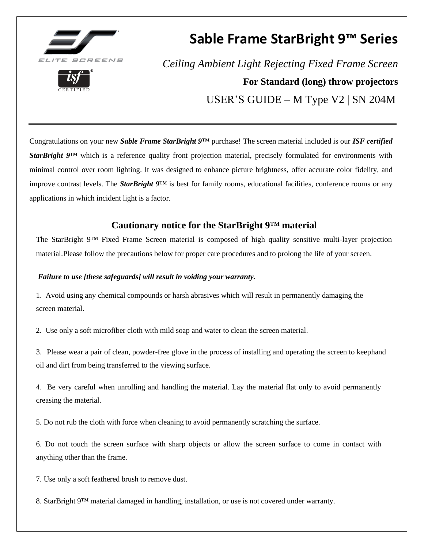

# **Sable Frame StarBright 9™ Series**

*Ceiling Ambient Light Rejecting Fixed Frame Screen* **For Standard (long) throw projectors** USER'S GUIDE – M Type V2 | SN 204M

Congratulations on your new *Sable Frame StarBright 9*™ purchase! The screen material included is our *ISF certified StarBright 9*™ which is a reference quality front projection material, precisely formulated for environments with minimal control over room lighting. It was designed to enhance picture brightness, offer accurate color fidelity, and improve contrast levels. The *StarBright 9*™ is best for family rooms, educational facilities, conference rooms or any applications in which incident light is a factor.

# **Cautionary notice for the StarBright 9**™ **material**

The StarBright 9™ Fixed Frame Screen material is composed of high quality sensitive multi-layer projection material.Please follow the precautions below for proper care procedures and to prolong the life of your screen.

### *Failure to use [these safeguards] will result in voiding your warranty.*

1. Avoid using any chemical compounds or harsh abrasives which will result in permanently damaging the screen material.

2. Use only a soft microfiber cloth with mild soap and water to clean the screen material.

3. Please wear a pair of clean, powder-free glove in the process of installing and operating the screen to keephand oil and dirt from being transferred to the viewing surface.

4. Be very careful when unrolling and handling the material. Lay the material flat only to avoid permanently creasing the material.

5. Do not rub the cloth with force when cleaning to avoid permanently scratching the surface.

6. Do not touch the screen surface with sharp objects or allow the screen surface to come in contact with anything other than the frame.

7. Use only a soft feathered brush to remove dust.

8. StarBright 9™ material damaged in handling, installation, or use is not covered under warranty.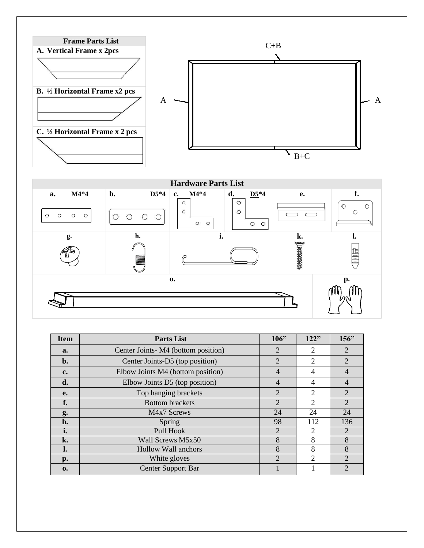



| <b>Item</b>    | <b>Parts List</b>                  | 106"           | 122"           | 156"           |
|----------------|------------------------------------|----------------|----------------|----------------|
| a.             | Center Joints-M4 (bottom position) | $\overline{2}$ | 2              | $\overline{2}$ |
| $\mathbf{b}$ . | Center Joints-D5 (top position)    | $\overline{2}$ | $\overline{2}$ | $\overline{2}$ |
| c.             | Elbow Joints M4 (bottom position)  | $\overline{4}$ | 4              | $\overline{4}$ |
| d.             | Elbow Joints D5 (top position)     | 4              | $\overline{4}$ | $\overline{4}$ |
| e.             | Top hanging brackets               | $\overline{2}$ | 2              | $\overline{2}$ |
| f.             | <b>Bottom</b> brackets             | $\overline{2}$ | $\overline{c}$ | $\overline{2}$ |
| g.             | M4x7 Screws                        | 24             | 24             | 24             |
| h.             | Spring                             | 98             | 112            | 136            |
| i.             | Pull Hook                          | $\overline{2}$ | 2              | 2              |
| k.             | Wall Screws M5x50                  | 8              | 8              | 8              |
| ı.             | <b>Hollow Wall anchors</b>         | 8              | 8              | 8              |
| p.             | White gloves                       | $\overline{2}$ | $\overline{c}$ | $\overline{c}$ |
| 0.             | <b>Center Support Bar</b>          |                |                | 2              |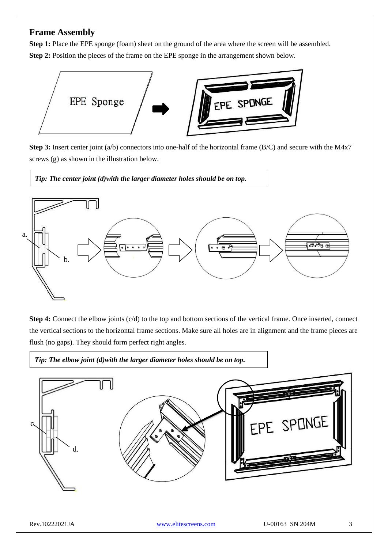# **Frame Assembly**

**Step 1:** Place the EPE sponge (foam) sheet on the ground of the area where the screen will be assembled. **Step 2:** Position the pieces of the frame on the EPE sponge in the arrangement shown below.



**Step 3:** Insert center joint (a/b) connectors into one-half of the horizontal frame (B/C) and secure with the M4x7 screws (g) as shown in the illustration below.

*Tip: The center joint (d)with the larger diameter holes should be on top.*



**Step 4:** Connect the elbow joints (c/d) to the top and bottom sections of the vertical frame. Once inserted, connect the vertical sections to the horizontal frame sections. Make sure all holes are in alignment and the frame pieces are flush (no gaps). They should form perfect right angles.

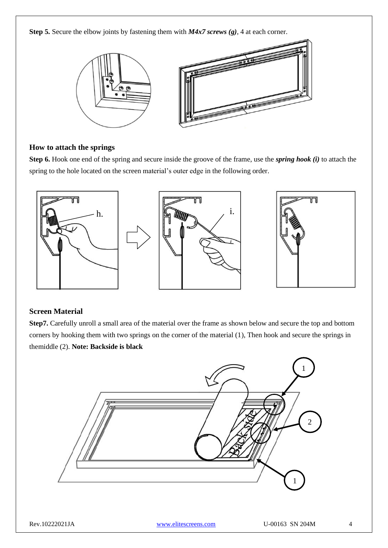**Step 5.** Secure the elbow joints by fastening them with *M4x7 screws (g)*, 4 at each corner.



#### **How to attach the springs**

**Step 6.** Hook one end of the spring and secure inside the groove of the frame, use the *spring hook (i)* to attach the spring to the hole located on the screen material's outer edge in the following order.



#### **Screen Material**

**Step7.** Carefully unroll a small area of the material over the frame as shown below and secure the top and bottom corners by hooking them with two springs on the corner of the material (1), Then hook and secure the springs in themiddle (2). **Note: Backside is black**

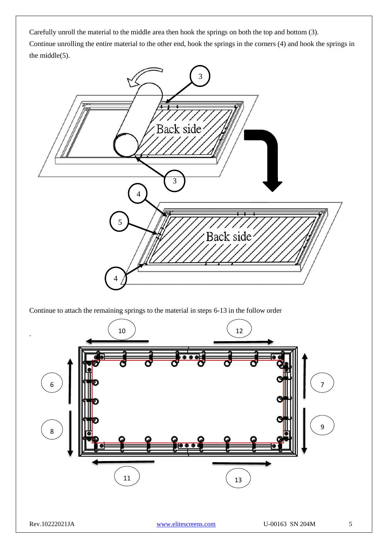Carefully unroll the material to the middle area then hook the springs on both the top and bottom (3). Continue unrolling the entire material to the other end, hook the springs in the corners (4) and hook the springs in the middle(5).



Continue to attach the remaining springs to the material in steps 6-13 in the follow order



.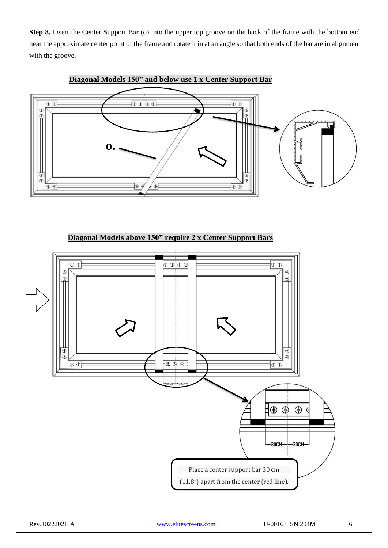**Step 8.** Insert the Center Support Bar (o) into the upper top groove on the back of the frame with the bottom end near the approximate center point of the frame and rotate it in at an angle so that both ends of the bar are in alignment with the groove.



# **Diagonal Models 150" and below use 1 x Center Support Bar**

**Diagonal Models above 150" require 2 x Center Support Bars**

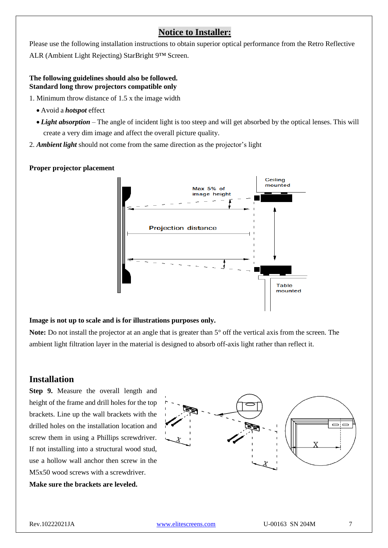# **Notice to Installer:**

Please use the following installation instructions to obtain superior optical performance from the Retro Reflective ALR (Ambient Light Rejecting) StarBright 9™ Screen.

#### **The following guidelines should also be followed. Standard long throw projectors compatible only**

1. Minimum throw distance of 1.5 x the image width

- Avoid a *hotspot* effect
- *Light absorption* The angle of incident light is too steep and will get absorbed by the optical lenses. This will create a very dim image and affect the overall picture quality.
- 2. *Ambient light* should not come from the same direction as the projector's light

#### **Proper projector placement**



#### **Image is not up to scale and is for illustrations purposes only.**

**Note:** Do not install the projector at an angle that is greater than 5° off the vertical axis from the screen. The ambient light filtration layer in the material is designed to absorb off-axis light rather than reflect it.

# **Installation**

**Step 9.** Measure the overall length and height of the frame and drill holes for the top brackets. Line up the wall brackets with the drilled holes on the installation location and screw them in using a Phillips screwdriver. If not installing into a structural wood stud, use a hollow wall anchor then screw in the M5x50 wood screws with a screwdriver. **Make sure the brackets are leveled.**